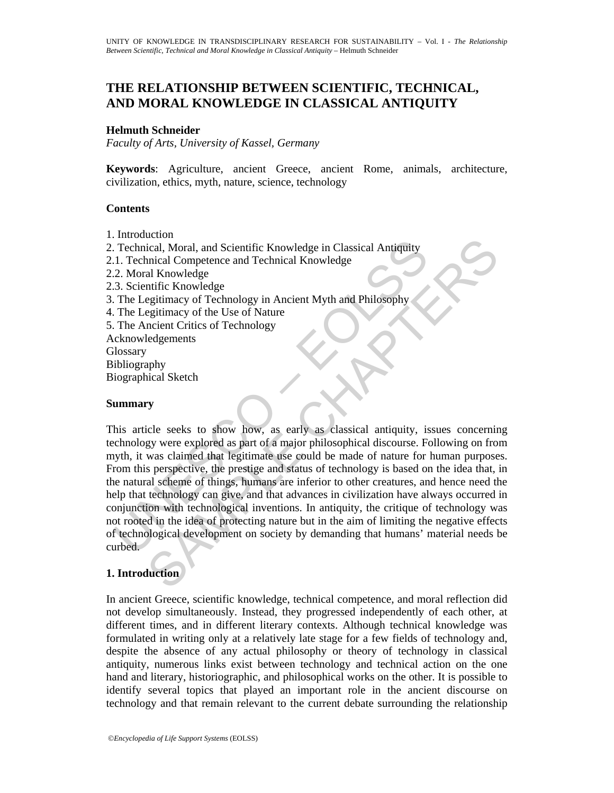# **THE RELATIONSHIP BETWEEN SCIENTIFIC, TECHNICAL, AND MORAL KNOWLEDGE IN CLASSICAL ANTIQUITY**

### **Helmuth Schneider**

*Faculty of Arts, University of Kassel, Germany* 

**Keywords**: Agriculture, ancient Greece, ancient Rome, animals, architecture, civilization, ethics, myth, nature, science, technology

#### **Contents**

- 1. Introduction
- 2. Technical, Moral, and Scientific Knowledge in Classical Antiquity
- 2.1. Technical Competence and Technical Knowledge
- 2.2. Moral Knowledge
- 2.3. Scientific Knowledge
- 3. The Legitimacy of Technology in Ancient Myth and Philosophy
- 4. The Legitimacy of the Use of Nature
- 5. The Ancient Critics of Technology

Acknowledgements **Glossary** 

Bibliography

Biographical Sketch

#### **Summary**

Technical, Moral, and Scientific Knowledge in Classical Antiquity<br>
1. Technical, Moral, and Scientific Knowledge<br>
2. Moral Knowledge<br>
2. Moral Knowledge<br>
2. Moral Knowledge<br>
2. The Legitimacy of Technology in Ancient Myth Contain and Scientific Knowledge in Classical Antiquity<br>
Lical, Moral, and Scientific Knowledge<br>
al Knowledge<br>
alf Knowledge<br>
antific Knowledge<br>
egitimacy of Technology in Ancient Myth and Philosophy<br>
entific Knowledge<br>
en This article seeks to show how, as early as classical antiquity, issues concerning technology were explored as part of a major philosophical discourse. Following on from myth, it was claimed that legitimate use could be made of nature for human purposes. From this perspective, the prestige and status of technology is based on the idea that, in the natural scheme of things, humans are inferior to other creatures, and hence need the help that technology can give, and that advances in civilization have always occurred in conjunction with technological inventions. In antiquity, the critique of technology was not rooted in the idea of protecting nature but in the aim of limiting the negative effects of technological development on society by demanding that humans' material needs be curbed.

## **1. Introduction**

In ancient Greece, scientific knowledge, technical competence, and moral reflection did not develop simultaneously. Instead, they progressed independently of each other, at different times, and in different literary contexts. Although technical knowledge was formulated in writing only at a relatively late stage for a few fields of technology and, despite the absence of any actual philosophy or theory of technology in classical antiquity, numerous links exist between technology and technical action on the one hand and literary, historiographic, and philosophical works on the other. It is possible to identify several topics that played an important role in the ancient discourse on technology and that remain relevant to the current debate surrounding the relationship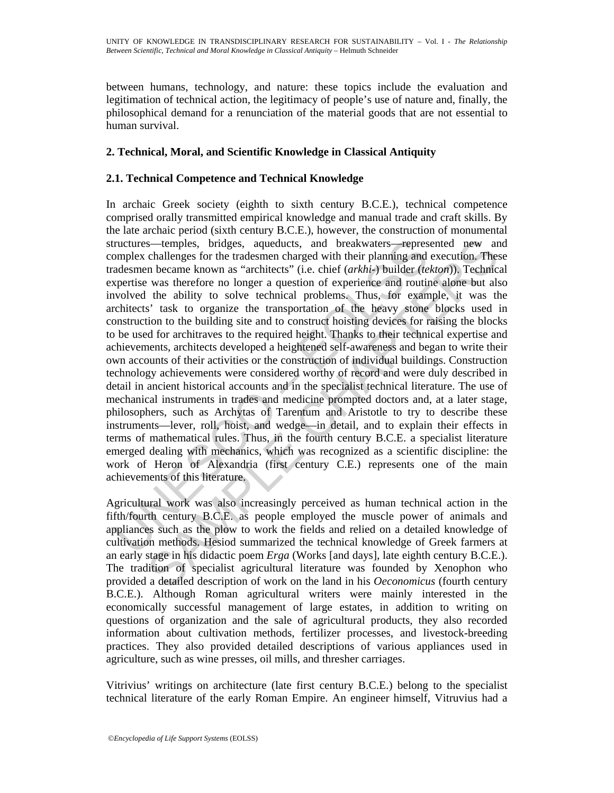between humans, technology, and nature: these topics include the evaluation and legitimation of technical action, the legitimacy of people's use of nature and, finally, the philosophical demand for a renunciation of the material goods that are not essential to human survival.

## **2. Technical, Moral, and Scientific Knowledge in Classical Antiquity**

## **2.1. Technical Competence and Technical Knowledge**

ructures—temples, bridges, aqueducts, and breakwaters—repres<br>umplex challenges for the tradesmen charged with their planning and<br>adesmen became known as "architects" (i.e. chief (arkhit-) builder (te<br>appretise was therefor s—temples, bridges, aqueducts, and breakwaters—represented new an challenges for the tradesmen charged with their planning and execution. These in hecame known as "architects" (i.e. chief (*arkhi*-*j* builder (*ektom*)). T In archaic Greek society (eighth to sixth century B.C.E.), technical competence comprised orally transmitted empirical knowledge and manual trade and craft skills. By the late archaic period (sixth century B.C.E.), however, the construction of monumental structures—temples, bridges, aqueducts, and breakwaters—represented new and complex challenges for the tradesmen charged with their planning and execution. These tradesmen became known as "architects" (i.e. chief (*arkhi-*) builder (*tekton*)). Technical expertise was therefore no longer a question of experience and routine alone but also involved the ability to solve technical problems. Thus, for example, it was the architects' task to organize the transportation of the heavy stone blocks used in construction to the building site and to construct hoisting devices for raising the blocks to be used for architraves to the required height. Thanks to their technical expertise and achievements, architects developed a heightened self-awareness and began to write their own accounts of their activities or the construction of individual buildings. Construction technology achievements were considered worthy of record and were duly described in detail in ancient historical accounts and in the specialist technical literature. The use of mechanical instruments in trades and medicine prompted doctors and, at a later stage, philosophers, such as Archytas of Tarentum and Aristotle to try to describe these instruments—lever, roll, hoist, and wedge—in detail, and to explain their effects in terms of mathematical rules. Thus, in the fourth century B.C.E. a specialist literature emerged dealing with mechanics, which was recognized as a scientific discipline: the work of Heron of Alexandria (first century C.E.) represents one of the main achievements of this literature.

Agricultural work was also increasingly perceived as human technical action in the fifth/fourth century B.C.E. as people employed the muscle power of animals and appliances such as the plow to work the fields and relied on a detailed knowledge of cultivation methods. Hesiod summarized the technical knowledge of Greek farmers at an early stage in his didactic poem *Erga* (Works [and days], late eighth century B.C.E.). The tradition of specialist agricultural literature was founded by Xenophon who provided a detailed description of work on the land in his *Oeconomicus* (fourth century B.C.E.). Although Roman agricultural writers were mainly interested in the economically successful management of large estates, in addition to writing on questions of organization and the sale of agricultural products, they also recorded information about cultivation methods, fertilizer processes, and livestock-breeding practices. They also provided detailed descriptions of various appliances used in agriculture, such as wine presses, oil mills, and thresher carriages.

Vitrivius' writings on architecture (late first century B.C.E.) belong to the specialist technical literature of the early Roman Empire. An engineer himself, Vitruvius had a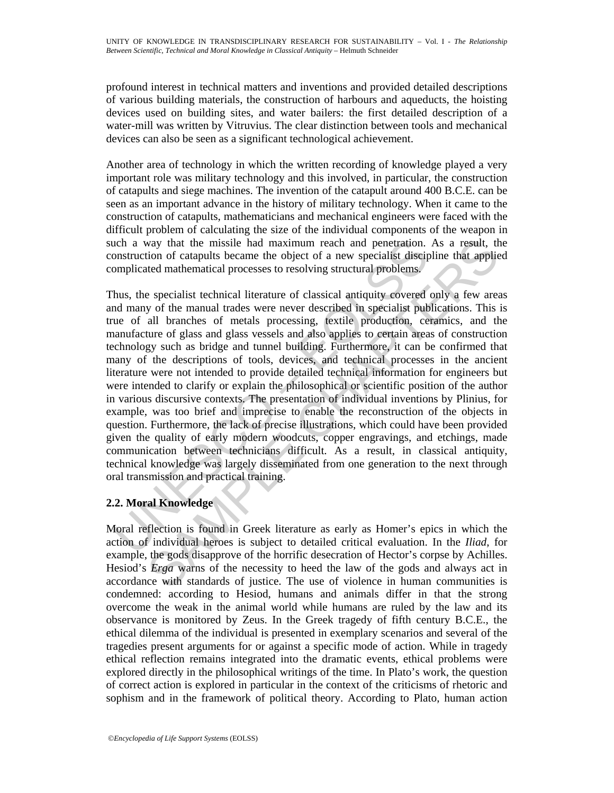profound interest in technical matters and inventions and provided detailed descriptions of various building materials, the construction of harbours and aqueducts, the hoisting devices used on building sites, and water bailers: the first detailed description of a water-mill was written by Vitruvius. The clear distinction between tools and mechanical devices can also be seen as a significant technological achievement.

Another area of technology in which the written recording of knowledge played a very important role was military technology and this involved, in particular, the construction of catapults and siege machines. The invention of the catapult around 400 B.C.E. can be seen as an important advance in the history of military technology. When it came to the construction of catapults, mathematicians and mechanical engineers were faced with the difficult problem of calculating the size of the individual components of the weapon in such a way that the missile had maximum reach and penetration. As a result, the construction of catapults became the object of a new specialist discipline that applied complicated mathematical processes to resolving structural problems.

ich a way that the missile had maximum reach and penetration.<br>
Such a way that the missile had maximum reach and penetration.<br>
Sustriction of catapults became the object of a new specialist disciplement<br>
hus, the specialis way that the missile had maximum reach and penetration. As a result, the of catapults became the object of a new specialist discipline that applicated of a new specialist discipline that application of cataputist disciplin Thus, the specialist technical literature of classical antiquity covered only a few areas and many of the manual trades were never described in specialist publications. This is true of all branches of metals processing, textile production, ceramics, and the manufacture of glass and glass vessels and also applies to certain areas of construction technology such as bridge and tunnel building. Furthermore, it can be confirmed that many of the descriptions of tools, devices, and technical processes in the ancient literature were not intended to provide detailed technical information for engineers but were intended to clarify or explain the philosophical or scientific position of the author in various discursive contexts. The presentation of individual inventions by Plinius, for example, was too brief and imprecise to enable the reconstruction of the objects in question. Furthermore, the lack of precise illustrations, which could have been provided given the quality of early modern woodcuts, copper engravings, and etchings, made communication between technicians difficult. As a result, in classical antiquity, technical knowledge was largely disseminated from one generation to the next through oral transmission and practical training.

# **2.2. Moral Knowledge**

Moral reflection is found in Greek literature as early as Homer's epics in which the action of individual heroes is subject to detailed critical evaluation. In the *Iliad*, for example, the gods disapprove of the horrific desecration of Hector's corpse by Achilles. Hesiod's *Erga* warns of the necessity to heed the law of the gods and always act in accordance with standards of justice. The use of violence in human communities is condemned: according to Hesiod, humans and animals differ in that the strong overcome the weak in the animal world while humans are ruled by the law and its observance is monitored by Zeus. In the Greek tragedy of fifth century B.C.E., the ethical dilemma of the individual is presented in exemplary scenarios and several of the tragedies present arguments for or against a specific mode of action. While in tragedy ethical reflection remains integrated into the dramatic events, ethical problems were explored directly in the philosophical writings of the time. In Plato's work, the question of correct action is explored in particular in the context of the criticisms of rhetoric and sophism and in the framework of political theory. According to Plato, human action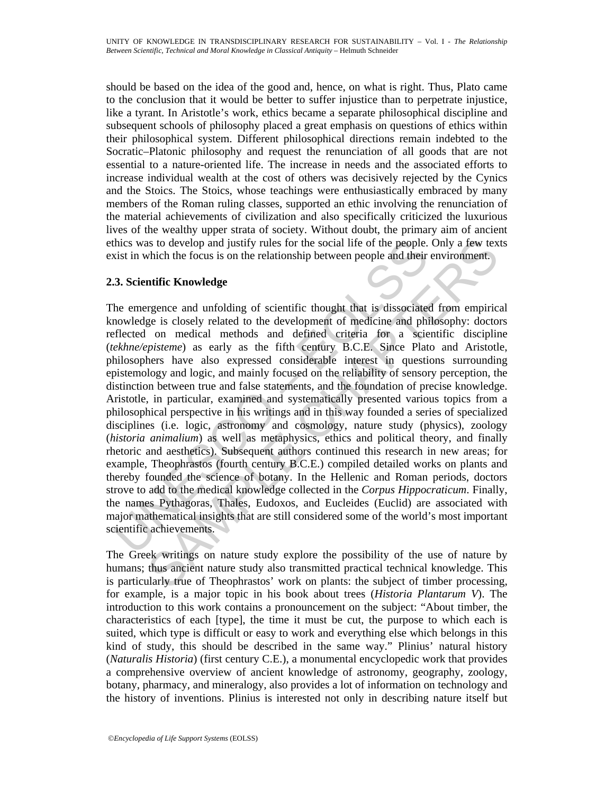should be based on the idea of the good and, hence, on what is right. Thus, Plato came to the conclusion that it would be better to suffer injustice than to perpetrate injustice, like a tyrant. In Aristotle's work, ethics became a separate philosophical discipline and subsequent schools of philosophy placed a great emphasis on questions of ethics within their philosophical system. Different philosophical directions remain indebted to the Socratic–Platonic philosophy and request the renunciation of all goods that are not essential to a nature-oriented life. The increase in needs and the associated efforts to increase individual wealth at the cost of others was decisively rejected by the Cynics and the Stoics. The Stoics, whose teachings were enthusiastically embraced by many members of the Roman ruling classes, supported an ethic involving the renunciation of the material achievements of civilization and also specifically criticized the luxurious lives of the wealthy upper strata of society. Without doubt, the primary aim of ancient ethics was to develop and justify rules for the social life of the people. Only a few texts exist in which the focus is on the relationship between people and their environment.

## **2.3. Scientific Knowledge**

thics was to develop and justify rules for the social life of the people.<br>
Sixtin which the focus is on the relationship between people and their<br>
3. Scientific Knowledge<br>
he emergence and unfolding of scientific thought t as to develop and justify rules for the social life of the people. Only a few tex<br>which the focus is on the relationship between people and their environment.<br> **ntific Knowledge**<br>
regence and unfolding of scientific though The emergence and unfolding of scientific thought that is dissociated from empirical knowledge is closely related to the development of medicine and philosophy: doctors reflected on medical methods and defined criteria for a scientific discipline (*tekhne/episteme*) as early as the fifth century B.C.E. Since Plato and Aristotle, philosophers have also expressed considerable interest in questions surrounding epistemology and logic, and mainly focused on the reliability of sensory perception, the distinction between true and false statements, and the foundation of precise knowledge. Aristotle, in particular, examined and systematically presented various topics from a philosophical perspective in his writings and in this way founded a series of specialized disciplines (i.e. logic, astronomy and cosmology, nature study (physics), zoology (*historia animalium*) as well as metaphysics, ethics and political theory, and finally rhetoric and aesthetics). Subsequent authors continued this research in new areas; for example, Theophrastos (fourth century B.C.E.) compiled detailed works on plants and thereby founded the science of botany. In the Hellenic and Roman periods, doctors strove to add to the medical knowledge collected in the *Corpus Hippocraticum*. Finally, the names Pythagoras, Thales, Eudoxos, and Eucleides (Euclid) are associated with major mathematical insights that are still considered some of the world's most important scientific achievements.

The Greek writings on nature study explore the possibility of the use of nature by humans; thus ancient nature study also transmitted practical technical knowledge. This is particularly true of Theophrastos' work on plants: the subject of timber processing, for example, is a major topic in his book about trees (*Historia Plantarum V*). The introduction to this work contains a pronouncement on the subject: "About timber, the characteristics of each [type], the time it must be cut, the purpose to which each is suited, which type is difficult or easy to work and everything else which belongs in this kind of study, this should be described in the same way." Plinius' natural history (*Naturalis Historia*) (first century C.E.), a monumental encyclopedic work that provides a comprehensive overview of ancient knowledge of astronomy, geography, zoology, botany, pharmacy, and mineralogy, also provides a lot of information on technology and the history of inventions. Plinius is interested not only in describing nature itself but